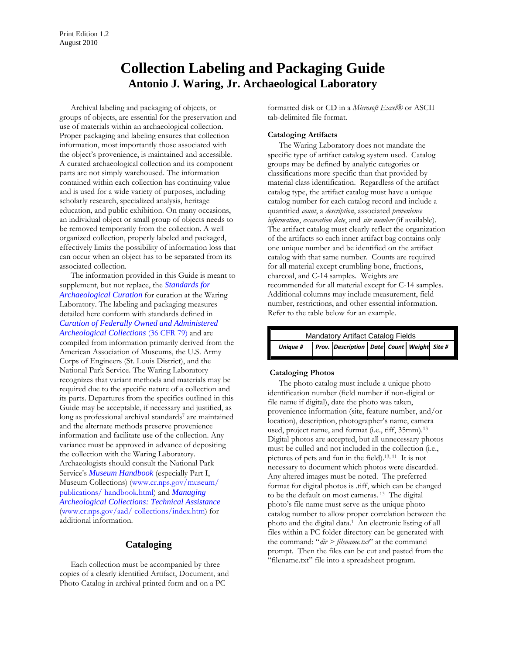# **Collection Labeling and Packaging Guide Antonio J. Waring, Jr. Archaeological Laboratory**

Archival labeling and packaging of objects, or groups of objects, are essential for the preservation and use of materials within an archaeological collection. Proper packaging and labeling ensures that collection information, most importantly those associated with the object's provenience, is maintained and accessible. A curated archaeological collection and its component parts are not simply warehoused. The information contained within each collection has continuing value and is used for a wide variety of purposes, including scholarly research, specialized analysis, heritage education, and public exhibition. On many occasions, an individual object or small group of objects needs to be removed temporarily from the collection. A well organized collection, properly labeled and packaged, effectively limits the possibility of information loss that can occur when an object has to be separated from its associated collection.

The information provided in this Guide is meant to supplement, but not replace, the *[Standards for](http://waring.westga.edu/standards.htm)  [Archaeological Curation](http://waring.westga.edu/standards.htm)* for curation at the Waring Laboratory. The labeling and packaging measures detailed here conform with standards defined in *[Curation of Federally Owned and Administered](http://www.nps.gov/history/archeology/tools/36CFR79.HTM)  Archeological Collections* (36 CFR 79) and are compiled from information primarily derived from the American Association of Museums, the U.S. Army Corps of Engineers (St. Louis District), and the National Park Service. The Waring Laboratory recognizes that variant methods and materials may be required due to the specific nature of a collection and its parts. Departures from the specifics outlined in this Guide may be acceptable, if necessary and justified, as long as professional archival standards<sup>7</sup> are maintained and the alternate methods preserve provenience information and facilitate use of the collection. Any variance must be approved in advance of depositing the collection with the Waring Laboratory. Archaeologists should consult the National Park Service's *[Museum Handbook](www.cr.nps.gov/museum/ publications/ handbook.html)* (especially Part I, Museum Collections) (www.cr.nps.gov/museum/ publications/ handbook.html) and *Managing [Archeological Collections: Technical Assistance](www.cr.nps.gov/aad/ collections/index.htm)*  (www.cr.nps.gov/aad/ collections/index.htm) for additional information.

# **Cataloging**

Each collection must be accompanied by three copies of a clearly identified Artifact, Document, and Photo Catalog in archival printed form and on a PC

formatted disk or CD in a *Microsoft Excel®* or ASCII tab-delimited file format.

# **Cataloging Artifacts**

The Waring Laboratory does not mandate the specific type of artifact catalog system used. Catalog groups may be defined by analytic categories or classifications more specific than that provided by material class identification. Regardless of the artifact catalog type, the artifact catalog must have a unique catalog number for each catalog record and include a quantified *count*, a *description*, associated *provenience information*, *excavation date*, and *site number* (if available). The artifact catalog must clearly reflect the organization of the artifacts so each inner artifact bag contains only one unique number and be identified on the artifact catalog with that same number. Counts are required for all material except crumbling bone, fractions, charcoal, and C-14 samples. Weights are recommended for all material except for C-14 samples. Additional columns may include measurement, field number, restrictions, and other essential information. Refer to the table below for an example.

| Mandatory Artifact Catalog Fields |  |                                                   |  |  |  |  |
|-----------------------------------|--|---------------------------------------------------|--|--|--|--|
| <b>Unique #</b>                   |  | <b>Prov.</b> Description Date Count Weight Site # |  |  |  |  |

### **Cataloging Photos**

The photo catalog must include a unique photo identification number (field number if non-digital or file name if digital), date the photo was taken, provenience information (site, feature number, and/or location), description, photographer's name, camera used, project name, and format (i.e., tiff, 35mm).13 Digital photos are accepted, but all unnecessary photos must be culled and not included in the collection (i.e., pictures of pets and fun in the field).13, 11 It is not necessary to document which photos were discarded. Any altered images must be noted. The preferred format for digital photos is .tiff, which can be changed to be the default on most cameras. 13 The digital photo's file name must serve as the unique photo catalog number to allow proper correlation between the photo and the digital data.1 An electronic listing of all files within a PC folder directory can be generated with the command: "*dir > filename.txt*" at the command prompt. Then the files can be cut and pasted from the "filename.txt" file into a spreadsheet program.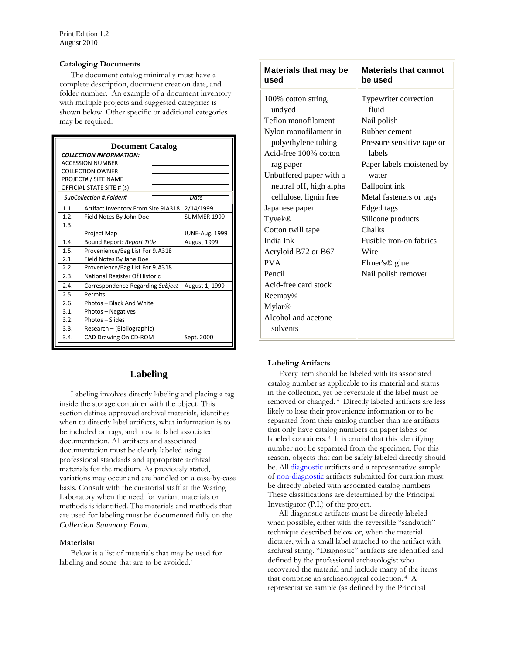### **Cataloging Documents**

The document catalog minimally must have a complete description, document creation date, and folder number. An example of a document inventory with multiple projects and suggested categories is shown below. Other specific or additional categories may be required.

| <b>Document Catalog</b><br><b>COLLECTION INFORMATION:</b><br><b>ACCESSION NUMBER</b><br><b>COLLECTION OWNER</b><br>PROJECT# / SITE NAME<br>OFFICIAL STATE SITE # (s)<br>SubCollection #.Folder#<br>Date |                                     |                    |  |  |
|---------------------------------------------------------------------------------------------------------------------------------------------------------------------------------------------------------|-------------------------------------|--------------------|--|--|
| 1.1.                                                                                                                                                                                                    | Artifact Inventory From Site 9JA318 | 2/14/1999          |  |  |
| 1.2.<br>1.3.                                                                                                                                                                                            | Field Notes By John Doe             | <b>SUMMER 1999</b> |  |  |
|                                                                                                                                                                                                         | Project Map                         | JUNE-Aug. 1999     |  |  |
| 1.4.                                                                                                                                                                                                    | Bound Report: Report Title          | August 1999        |  |  |
| 1.5.                                                                                                                                                                                                    | Provenience/Bag List For 9JA318     |                    |  |  |
| 2.1.                                                                                                                                                                                                    | Field Notes By Jane Doe             |                    |  |  |
| 2.2.                                                                                                                                                                                                    | Provenience/Bag List For 9JA318     |                    |  |  |
| 2.3.                                                                                                                                                                                                    | National Register Of Historic       |                    |  |  |
| 2.4.                                                                                                                                                                                                    | Correspondence Regarding Subject    | August 1, 1999     |  |  |
| 2.5.                                                                                                                                                                                                    | Permits                             |                    |  |  |
| 2.6.                                                                                                                                                                                                    | Photos - Black And White            |                    |  |  |
| 3.1.                                                                                                                                                                                                    | Photos - Negatives                  |                    |  |  |
| 3.2.                                                                                                                                                                                                    | Photos - Slides                     |                    |  |  |
| 3.3.                                                                                                                                                                                                    | Research - (Bibliographic)          |                    |  |  |
| 3.4.                                                                                                                                                                                                    | CAD Drawing On CD-ROM<br>Sept. 2000 |                    |  |  |

# **Labeling**

Labeling involves directly labeling and placing a tag inside the storage container with the object. This section defines approved archival materials, identifies when to directly label artifacts, what information is to be included on tags, and how to label associated documentation. All artifacts and associated documentation must be clearly labeled using professional standards and appropriate archival materials for the medium. As previously stated, variations may occur and are handled on a case-by-case basis. Consult with the curatorial staff at the Waring Laboratory when the need for variant materials or methods is identified. The materials and methods that are used for labeling must be documented fully on the *Collection Summary Form.*

### **Materials1**

Below is a list of materials that may be used for labeling and some that are to be avoided.<sup>4</sup>

| <b>Materials that may be</b><br>used | <b>Materials that cannot</b><br>be used |  |
|--------------------------------------|-----------------------------------------|--|
| 100% cotton string,                  | Typewriter correction                   |  |
| undyed                               | fluid                                   |  |
| Teflon monofilament                  | Nail polish                             |  |
| Nylon monofilament in                | Rubber cement                           |  |
| polyethylene tubing                  | Pressure sensitive tape or              |  |
| Acid-free 100% cotton                | labels                                  |  |
| rag paper                            | Paper labels moistened by               |  |
| Unbuffered paper with a              | water                                   |  |
| neutral pH, high alpha               | <b>Ballpoint ink</b>                    |  |
| cellulose, lignin free               | Metal fasteners or tags                 |  |
| Japanese paper                       | Edged tags                              |  |
| Tyvek®                               | Silicone products                       |  |
| Cotton twill tape                    | Chalks                                  |  |
| India Ink                            | Fusible iron-on fabrics                 |  |
| Acryloid B72 or B67                  | Wire                                    |  |
| <b>PVA</b>                           | Elmer's <sup>®</sup> glue               |  |
| Pencil                               | Nail polish remover                     |  |
| Acid-free card stock                 |                                         |  |
| Reemay <sup>®</sup>                  |                                         |  |
| <b>Mylar®</b>                        |                                         |  |
| Alcohol and acetone                  |                                         |  |
| solvents                             |                                         |  |
|                                      |                                         |  |

#### **Labeling Artifacts**

Every item should be labeled with its associated catalog number as applicable to its material and status in the collection, yet be reversible if the label must be removed or changed. 4 Directly labeled artifacts are less likely to lose their provenience information or to be separated from their catalog number than are artifacts that only have catalog numbers on paper labels or labeled containers. 4 It is crucial that this identifying number not be separated from the specimen. For this reason, objects that can be safely labeled directly should be. All diagnostic artifacts and a representative sample of non-diagnostic artifacts submitted for curation must be directly labeled with associated catalog numbers. These classifications are determined by the Principal Investigator (P.I.) of the project.

All diagnostic artifacts must be directly labeled when possible, either with the reversible "sandwich" technique described below or, when the material dictates, with a small label attached to the artifact with archival string. "Diagnostic" artifacts are identified and defined by the professional archaeologist who recovered the material and include many of the items that comprise an archaeological collection. <sup>4</sup> A representative sample (as defined by the Principal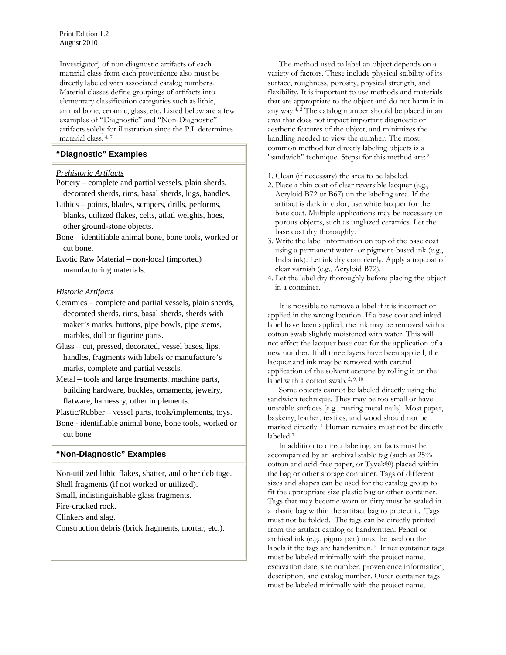Investigator) of non-diagnostic artifacts of each material class from each provenience also must be directly labeled with associated catalog numbers. Material classes define groupings of artifacts into elementary classification categories such as lithic, animal bone, ceramic, glass, etc. Listed below are a few examples of "Diagnostic" and "Non-Diagnostic" artifacts solely for illustration since the P.I. determines material class. 4, 7

# **"Diagnostic" Examples**

# *Prehistoric Artifacts*

- Pottery complete and partial vessels, plain sherds, decorated sherds, rims, basal sherds, lugs, handles.
- Lithics points, blades, scrapers, drills, performs, blanks, utilized flakes, celts, atlatl weights, hoes, other ground-stone objects.
- Bone identifiable animal bone, bone tools, worked or cut bone.

Exotic Raw Material – non-local (imported) manufacturing materials.

# *Historic Artifacts*

- Ceramics complete and partial vessels, plain sherds, decorated sherds, rims, basal sherds, sherds with maker's marks, buttons, pipe bowls, pipe stems, marbles, doll or figurine parts.
- Glass cut, pressed, decorated, vessel bases, lips, handles, fragments with labels or manufacture's marks, complete and partial vessels.
- Metal tools and large fragments, machine parts, building hardware, buckles, ornaments, jewelry, flatware, harnessry, other implements.

Plastic/Rubber – vessel parts, tools/implements, toys.

Bone - identifiable animal bone, bone tools, worked or cut bone

# **"Non-Diagnostic" Examples**

Non-utilized lithic flakes, shatter, and other debitage. Shell fragments (if not worked or utilized). Small, indistinguishable glass fragments. Fire-cracked rock. Clinkers and slag. Construction debris (brick fragments, mortar, etc.).

The method used to label an object depends on a variety of factors. These include physical stability of its surface, roughness, porosity, physical strength, and flexibility. It is important to use methods and materials that are appropriate to the object and do not harm it in any way. $4,2$  The catalog number should be placed in an area that does not impact important diagnostic or aesthetic features of the object, and minimizes the handling needed to view the number. The most common method for directly labeling objects is a "sandwich" technique. Steps1 for this method are: <sup>2</sup>

- 1. Clean (if necessary) the area to be labeled.
- 2. Place a thin coat of clear reversible lacquer (e.g., Acryloid B72 or B67) on the labeling area. If the artifact is dark in color, use white lacquer for the base coat. Multiple applications may be necessary on porous objects, such as unglazed ceramics. Let the base coat dry thoroughly.
- 3. Write the label information on top of the base coat using a permanent water- or pigment-based ink (e.g., India ink). Let ink dry completely. Apply a topcoat of clear varnish (e.g., Acryloid B72).
- 4. Let the label dry thoroughly before placing the object in a container.

It is possible to remove a label if it is incorrect or applied in the wrong location. If a base coat and inked label have been applied, the ink may be removed with a cotton swab slightly moistened with water. This will not affect the lacquer base coat for the application of a new number. If all three layers have been applied, the lacquer and ink may be removed with careful application of the solvent acetone by rolling it on the label with a cotton swab. 2, 9, 10

Some objects cannot be labeled directly using the sandwich technique. They may be too small or have unstable surfaces [e.g., rusting metal nails]. Most paper, basketry, leather, textiles, and wood should not be marked directly. 4 Human remains must not be directly labeled.7

In addition to direct labeling, artifacts must be accompanied by an archival stable tag (such as 25% cotton and acid-free paper, or Tyvek®) placed within the bag or other storage container. Tags of different sizes and shapes can be used for the catalog group to fit the appropriate size plastic bag or other container. Tags that may become worn or dirty must be sealed in a plastic bag within the artifact bag to protect it. Tags must not be folded. The tags can be directly printed from the artifact catalog or handwritten. Pencil or archival ink (e.g., pigma pen) must be used on the labels if the tags are handwritten.<sup>2</sup> Inner container tags must be labeled minimally with the project name, excavation date, site number, provenience information, description, and catalog number. Outer container tags must be labeled minimally with the project name,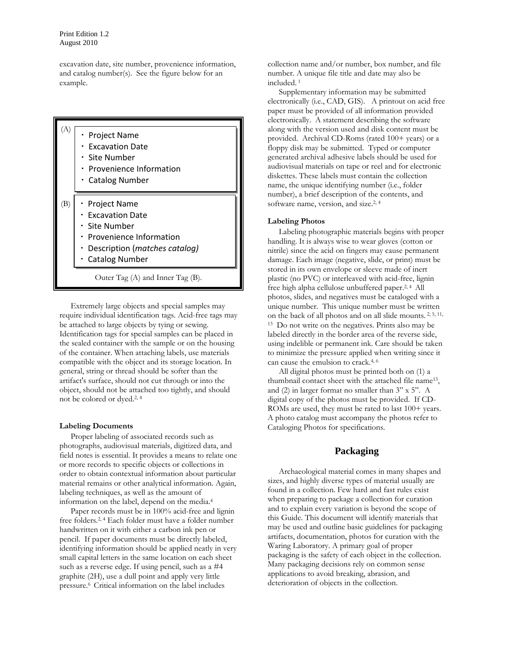excavation date, site number, provenience information, and catalog number(s). See the figure below for an example.



Extremely large objects and special samples may require individual identification tags. Acid-free tags may be attached to large objects by tying or sewing. Identification tags for special samples can be placed in the sealed container with the sample or on the housing of the container. When attaching labels, use materials compatible with the object and its storage location. In general, string or thread should be softer than the artifact's surface, should not cut through or into the object, should not be attached too tightly, and should not be colored or dyed.2, 4

#### **Labeling Documents**

Proper labeling of associated records such as photographs, audiovisual materials, digitized data, and field notes is essential. It provides a means to relate one or more records to specific objects or collections in order to obtain contextual information about particular material remains or other analytical information. Again, labeling techniques, as well as the amount of information on the label, depend on the media.4

Paper records must be in 100% acid-free and lignin free folders.2, 4 Each folder must have a folder number handwritten on it with either a carbon ink pen or pencil. If paper documents must be directly labeled, identifying information should be applied neatly in very small capital letters in the same location on each sheet such as a reverse edge. If using pencil, such as a #4 graphite (2H), use a dull point and apply very little pressure.6 Critical information on the label includes

collection name and/or number, box number, and file number. A unique file title and date may also be included. <sup>1</sup>

Supplementary information may be submitted electronically (i.e., CAD, GIS). A printout on acid free paper must be provided of all information provided electronically. A statement describing the software along with the version used and disk content must be provided. Archival CD-Roms (rated 100+ years) or a floppy disk may be submitted. Typed or computer generated archival adhesive labels should be used for audiovisual materials on tape or reel and for electronic diskettes. These labels must contain the collection name, the unique identifying number (i.e., folder number), a brief description of the contents, and software name, version, and size.<sup>2, 4</sup>

# **Labeling Photos**

Labeling photographic materials begins with proper handling. It is always wise to wear gloves (cotton or nitrile) since the acid on fingers may cause permanent damage. Each image (negative, slide, or print) must be stored in its own envelope or sleeve made of inert plastic (no PVC) or interleaved with acid-free, lignin free high alpha cellulose unbuffered paper.<sup>2, 4</sup> All photos, slides, and negatives must be cataloged with a unique number. This unique number must be written on the back of all photos and on all slide mounts. 2, 5, 11, 13 Do not write on the negatives. Prints also may be labeled directly in the border area of the reverse side, using indelible or permanent ink. Care should be taken to minimize the pressure applied when writing since it can cause the emulsion to crack.4, 6

All digital photos must be printed both on (1) a thumbnail contact sheet with the attached file name<sup>13</sup>, and (2) in larger format no smaller than 3" x 5". A digital copy of the photos must be provided. If CD-ROMs are used, they must be rated to last  $100+$  years. A photo catalog must accompany the photos refer to Cataloging Photos for specifications.

# **Packaging**

Archaeological material comes in many shapes and sizes, and highly diverse types of material usually are found in a collection. Few hard and fast rules exist when preparing to package a collection for curation and to explain every variation is beyond the scope of this Guide. This document will identify materials that may be used and outline basic guidelines for packaging artifacts, documentation, photos for curation with the Waring Laboratory. A primary goal of proper packaging is the safety of each object in the collection. Many packaging decisions rely on common sense applications to avoid breaking, abrasion, and deterioration of objects in the collection.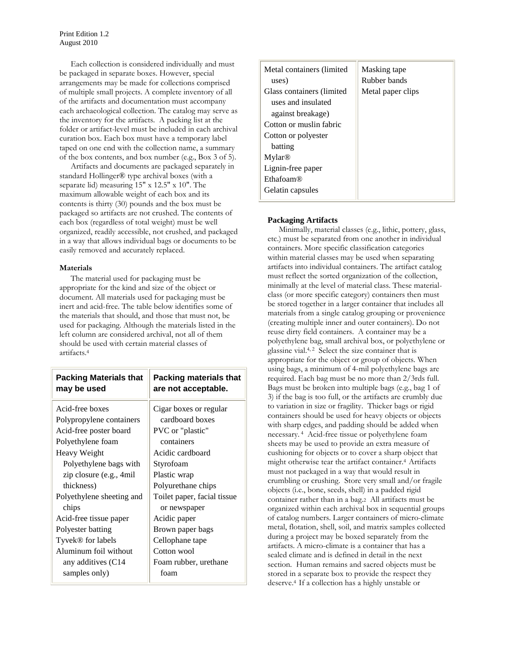Each collection is considered individually and must be packaged in separate boxes. However, special arrangements may be made for collections comprised of multiple small projects. A complete inventory of all of the artifacts and documentation must accompany each archaeological collection. The catalog may serve as the inventory for the artifacts. A packing list at the folder or artifact-level must be included in each archival curation box. Each box must have a temporary label taped on one end with the collection name, a summary of the box contents, and box number (e.g., Box 3 of 5).

Artifacts and documents are packaged separately in standard Hollinger® type archival boxes (with a separate lid) measuring 15" x 12.5" x 10". The maximum allowable weight of each box and its contents is thirty (30) pounds and the box must be packaged so artifacts are not crushed. The contents of each box (regardless of total weight) must be well organized, readily accessible, not crushed, and packaged in a way that allows individual bags or documents to be easily removed and accurately replaced.

# **Materials**

The material used for packaging must be appropriate for the kind and size of the object or document. All materials used for packaging must be inert and acid-free. The table below identifies some of the materials that should, and those that must not, be used for packaging. Although the materials listed in the left column are considered archival, not all of them should be used with certain material classes of artifacts.4

| <b>Packing Materials that</b> | Packing materials that      |
|-------------------------------|-----------------------------|
| may be used                   | are not acceptable.         |
| Acid-free boxes               | Cigar boxes or regular      |
| Polypropylene containers      | cardboard boxes             |
| Acid-free poster board        | PVC or "plastic"            |
| Polyethylene foam             | containers                  |
| Heavy Weight                  | Acidic cardboard            |
| Polyethylene bags with        | Styrofoam                   |
| zip closure (e.g., 4mil       | Plastic wrap                |
| thickness)                    | Polyurethane chips          |
| Polyethylene sheeting and     | Toilet paper, facial tissue |
| chips                         | or newspaper                |
| Acid-free tissue paper        | Acidic paper                |
| Polyester batting             | Brown paper bags            |
| Tyvek® for labels             | Cellophane tape             |
| Aluminum foil without         | Cotton wool                 |
| any additives (C14            | Foam rubber, urethane       |
| samples only)                 | foam                        |

| Metal containers (limited<br>uses) | Masking tape<br>Rubber bands |
|------------------------------------|------------------------------|
| Glass containers (limited          | Metal paper clips            |
| uses and insulated                 |                              |
| against breakage)                  |                              |
| Cotton or muslin fabric            |                              |
| Cotton or polyester                |                              |
| batting                            |                              |
| Mylar <sup>®</sup>                 |                              |
| Lignin-free paper                  |                              |
| $Ethaf$ m(R)                       |                              |
| Gelatin capsules                   |                              |

# **Packaging Artifacts**

Minimally, material classes (e.g., lithic, pottery, glass, etc.) must be separated from one another in individual containers. More specific classification categories within material classes may be used when separating artifacts into individual containers. The artifact catalog must reflect the sorted organization of the collection, minimally at the level of material class. These materialclass (or more specific category) containers then must be stored together in a larger container that includes all materials from a single catalog grouping or provenience (creating multiple inner and outer containers). Do not reuse dirty field containers. A container may be a polyethylene bag, small archival box, or polyethylene or glassine vial.<sup>4, 2</sup> Select the size container that is appropriate for the object or group of objects. When using bags, a minimum of 4-mil polyethylene bags are required. Each bag must be no more than 2/3rds full. Bags must be broken into multiple bags (e.g., bag 1 of 3) if the bag is too full, or the artifacts are crumbly due to variation in size or fragility. Thicker bags or rigid containers should be used for heavy objects or objects with sharp edges, and padding should be added when necessary. 4 Acid-free tissue or polyethylene foam sheets may be used to provide an extra measure of cushioning for objects or to cover a sharp object that might otherwise tear the artifact container.<sup>4</sup> Artifacts must not packaged in a way that would result in crumbling or crushing. Store very small and/or fragile objects (i.e., bone, seeds, shell) in a padded rigid container rather than in a bag.2 All artifacts must be organized within each archival box in sequential groups of catalog numbers. Larger containers of micro-climate metal, flotation, shell, soil, and matrix samples collected during a project may be boxed separately from the artifacts. A micro-climate is a container that has a sealed climate and is defined in detail in the next section. Human remains and sacred objects must be stored in a separate box to provide the respect they deserve.4 If a collection has a highly unstable or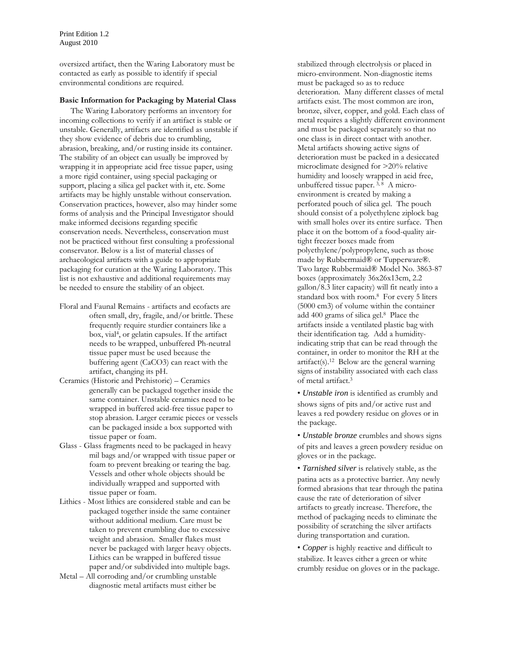oversized artifact, then the Waring Laboratory must be contacted as early as possible to identify if special environmental conditions are required.

# **Basic Information for Packaging by Material Class**

The Waring Laboratory performs an inventory for incoming collections to verify if an artifact is stable or unstable. Generally, artifacts are identified as unstable if they show evidence of debris due to crumbling, abrasion, breaking, and/or rusting inside its container. The stability of an object can usually be improved by wrapping it in appropriate acid free tissue paper, using a more rigid container, using special packaging or support, placing a silica gel packet with it, etc. Some artifacts may be highly unstable without conservation. Conservation practices, however, also may hinder some forms of analysis and the Principal Investigator should make informed decisions regarding specific conservation needs. Nevertheless, conservation must not be practiced without first consulting a professional conservator. Below is a list of material classes of archaeological artifacts with a guide to appropriate packaging for curation at the Waring Laboratory. This list is not exhaustive and additional requirements may be needed to ensure the stability of an object.

- Floral and Faunal Remains artifacts and ecofacts are often small, dry, fragile, and/or brittle. These frequently require sturdier containers like a box, vial4, or gelatin capsules. If the artifact needs to be wrapped, unbuffered Ph-neutral tissue paper must be used because the buffering agent (CaCO3) can react with the artifact, changing its pH.
- Ceramics (Historic and Prehistoric) Ceramics generally can be packaged together inside the same container. Unstable ceramics need to be wrapped in buffered acid-free tissue paper to stop abrasion. Larger ceramic pieces or vessels can be packaged inside a box supported with tissue paper or foam.
- Glass Glass fragments need to be packaged in heavy mil bags and/or wrapped with tissue paper or foam to prevent breaking or tearing the bag. Vessels and other whole objects should be individually wrapped and supported with tissue paper or foam.
- Lithics Most lithics are considered stable and can be packaged together inside the same container without additional medium. Care must be taken to prevent crumbling due to excessive weight and abrasion. Smaller flakes must never be packaged with larger heavy objects. Lithics can be wrapped in buffered tissue paper and/or subdivided into multiple bags.
- Metal All corroding and/or crumbling unstable diagnostic metal artifacts must either be

stabilized through electrolysis or placed in micro-environment. Non-diagnostic items must be packaged so as to reduce deterioration. Many different classes of metal artifacts exist. The most common are iron, bronze, silver, copper, and gold. Each class of metal requires a slightly different environment and must be packaged separately so that no one class is in direct contact with another. Metal artifacts showing active signs of deterioration must be packed in a desiccated microclimate designed for >20% relative humidity and loosely wrapped in acid free, unbuffered tissue paper. 3, 8 A microenvironment is created by making a perforated pouch of silica gel. The pouch should consist of a polyethylene ziplock bag with small holes over its entire surface. Then place it on the bottom of a food-quality airtight freezer boxes made from polyethylene/polypropylene, such as those made by Rubbermaid® or Tupperware®. Two large Rubbermaid® Model No. 3863-87 boxes (approximately 36x26x13cm, 2.2 gallon/8.3 liter capacity) will fit neatly into a standard box with room.8 For every 5 liters (5000 cm3) of volume within the container add 400 grams of silica gel.8 Place the artifacts inside a ventilated plastic bag with their identification tag. Add a humidityindicating strip that can be read through the container, in order to monitor the RH at the artifact(s).<sup>12</sup> Below are the general warning signs of instability associated with each class of metal artifact.3

• *Unstable iron* is identified as crumbly and shows signs of pits and/or active rust and leaves a red powdery residue on gloves or in the package.

- *Unstable bronze* crumbles and shows signs of pits and leaves a green powdery residue on gloves or in the package.
- *Tarnished silver* is relatively stable, as the patina acts as a protective barrier. Any newly formed abrasions that tear through the patina cause the rate of deterioration of silver artifacts to greatly increase. Therefore, the method of packaging needs to eliminate the possibility of scratching the silver artifacts during transportation and curation.
- *Copper* is highly reactive and difficult to stabilize. It leaves either a green or white crumbly residue on gloves or in the package.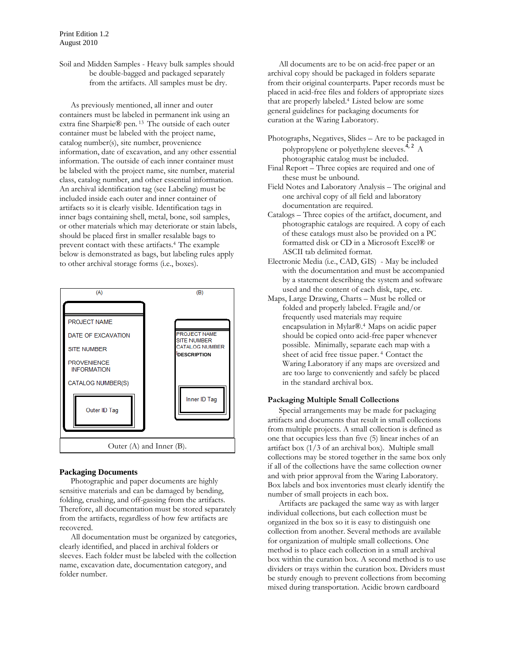Soil and Midden Samples - Heavy bulk samples should be double-bagged and packaged separately from the artifacts. All samples must be dry.

As previously mentioned, all inner and outer containers must be labeled in permanent ink using an extra fine Sharpie® pen. 13 The outside of each outer container must be labeled with the project name, catalog number(s), site number, provenience information, date of excavation, and any other essential information. The outside of each inner container must be labeled with the project name, site number, material class, catalog number, and other essential information. An archival identification tag (see Labeling) must be included inside each outer and inner container of artifacts so it is clearly visible. Identification tags in inner bags containing shell, metal, bone, soil samples, or other materials which may deteriorate or stain labels, should be placed first in smaller resalable bags to prevent contact with these artifacts.4 The example below is demonstrated as bags, but labeling rules apply to other archival storage forms (i.e., boxes).



# **Packaging Documents**

Photographic and paper documents are highly sensitive materials and can be damaged by bending, folding, crushing, and off-gassing from the artifacts. Therefore, all documentation must be stored separately from the artifacts, regardless of how few artifacts are recovered.

All documentation must be organized by categories, clearly identified, and placed in archival folders or sleeves. Each folder must be labeled with the collection name, excavation date, documentation category, and folder number.

All documents are to be on acid-free paper or an archival copy should be packaged in folders separate from their original counterparts. Paper records must be placed in acid-free files and folders of appropriate sizes that are properly labeled.4 Listed below are some general guidelines for packaging documents for curation at the Waring Laboratory.

- Photographs, Negatives, Slides Are to be packaged in polypropylene or polyethylene sleeves.  $\hat{A}$ ,  $\hat{A}$ photographic catalog must be included.
- Final Report Three copies are required and one of these must be unbound.
- Field Notes and Laboratory Analysis The original and one archival copy of all field and laboratory documentation are required.
- Catalogs Three copies of the artifact, document, and photographic catalogs are required. A copy of each of these catalogs must also be provided on a PC formatted disk or CD in a Microsoft Excel® or ASCII tab delimited format.
- Electronic Media (i.e., CAD, GIS) May be included with the documentation and must be accompanied by a statement describing the system and software used and the content of each disk, tape, etc.
- Maps, Large Drawing, Charts Must be rolled or folded and properly labeled. Fragile and/or frequently used materials may require encapsulation in Mylar®.4 Maps on acidic paper should be copied onto acid-free paper whenever possible. Minimally, separate each map with a sheet of acid free tissue paper. 4 Contact the Waring Laboratory if any maps are oversized and are too large to conveniently and safely be placed in the standard archival box.

# **Packaging Multiple Small Collections**

Special arrangements may be made for packaging artifacts and documents that result in small collections from multiple projects. A small collection is defined as one that occupies less than five (5) linear inches of an artifact box (1/3 of an archival box). Multiple small collections may be stored together in the same box only if all of the collections have the same collection owner and with prior approval from the Waring Laboratory. Box labels and box inventories must clearly identify the number of small projects in each box.

Artifacts are packaged the same way as with larger individual collections, but each collection must be organized in the box so it is easy to distinguish one collection from another. Several methods are available for organization of multiple small collections. One method is to place each collection in a small archival box within the curation box. A second method is to use dividers or trays within the curation box. Dividers must be sturdy enough to prevent collections from becoming mixed during transportation. Acidic brown cardboard